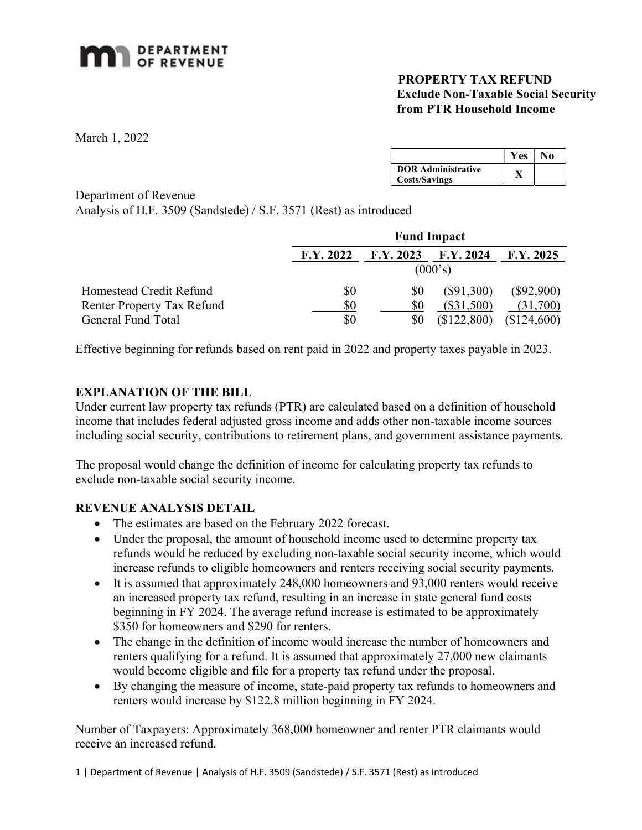# **MAN** DEPARTMENT

### PROPERTY TAX REFUND Exclude Non-Taxable Social Security from PTR Household Income

March 1, 2022

|                                                   | Yes | No |
|---------------------------------------------------|-----|----|
| <b>DOR Administrative</b><br><b>Costs/Savings</b> |     |    |

Department of Revenue

Analysis of H.F. 3509 (Sandstede) / S.F. 3571 (Rest) as introduced

|                                   | <b>Fund Impact</b> |           |                 |              |  |
|-----------------------------------|--------------------|-----------|-----------------|--------------|--|
|                                   | F.Y. 2022          | F.Y. 2023 | $\rm F.Y. 2024$ | F.Y. 2025    |  |
|                                   | (000's)            |           |                 |              |  |
| Homestead Credit Refund           | \$0                | \$0       | $(\$91,300)$    | $(\$92,900)$ |  |
| <b>Renter Property Tax Refund</b> | \$0                | \$0       | $(\$31,500)$    | (31,700)     |  |
| General Fund Total                | \$0                | \$0       | (\$122,800)     | \$124,600    |  |

Effective beginning for refunds based on rent paid in 2022 and property taxes payable in 2023.

## EXPLANATION OF THE BILL

Under current law property tax refunds (PTR) are calculated based on a definition of household income that includes federal adjusted gross income and adds other non-taxable income sources including social security, contributions to retirement plans, and government assistance payments.

The proposal would change the definition of income for calculating property tax refunds to exclude non-taxable social security income.

#### REVENUE ANALYSIS DETAIL

- The estimates are based on the February 2022 forecast.
- Under the proposal, the amount of household income used to determine property tax refunds would be reduced by excluding non-taxable social security income, which would increase refunds to eligible homeowners and renters receiving social security payments.
- It is assumed that approximately 248,000 homeowners and 93,000 renters would receive an increased property tax refund, resulting in an increase in state general fund costs beginning in FY 2024. The average refund increase is estimated to be approximately \$350 for homeowners and \$290 for renters.
- The change in the definition of income would increase the number of homeowners and renters qualifying for a refund. It is assumed that approximately 27,000 new claimants would become eligible and file for a property tax refund under the proposal.
- By changing the measure of income, state-paid property tax refunds to homeowners and renters would increase by \$122.8 million beginning in FY 2024.

Number of Taxpayers: Approximately 368,000 homeowner and renter PTR claimants would receive an increased refund.

1 | Department of Revenue | Analysis of H.F. 3509 (Sandstede) / S.F. 3571 (Rest) as introduced